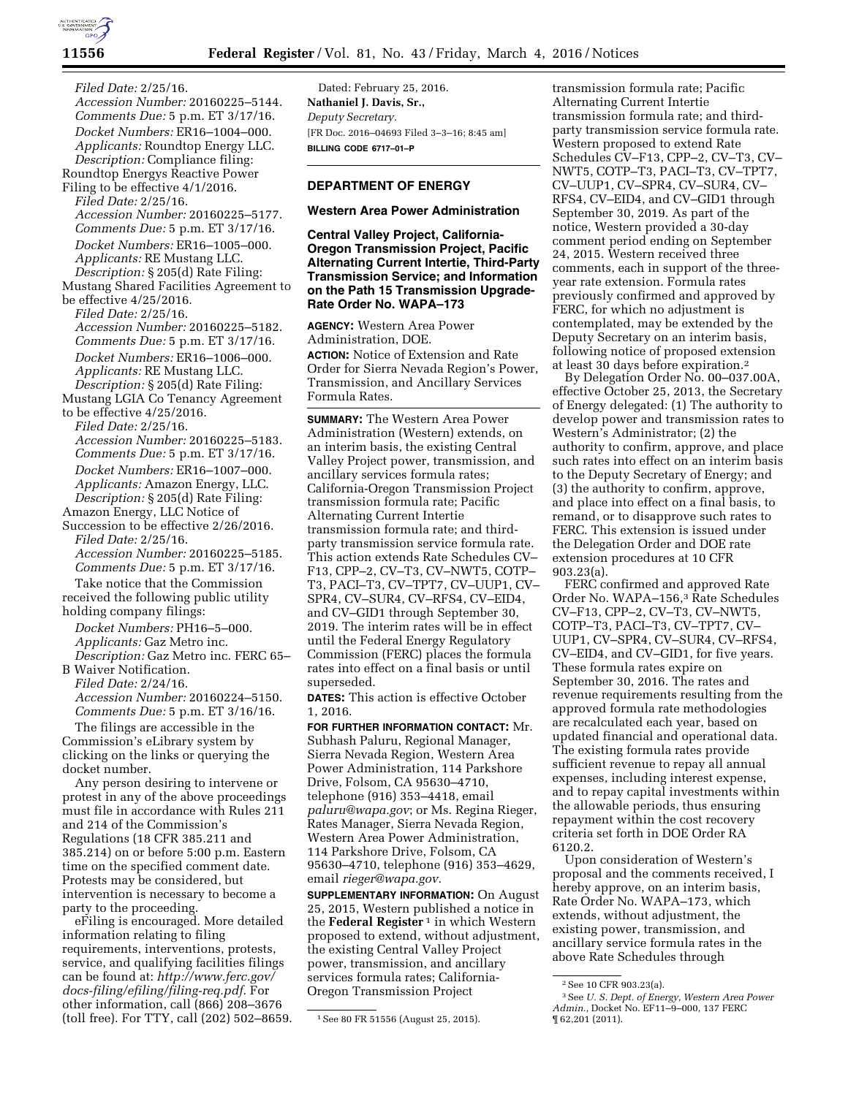

*Filed Date:* 2/25/16. *Accession Number:* 20160225–5144. *Comments Due:* 5 p.m. ET 3/17/16. *Docket Numbers:* ER16–1004–000. *Applicants:* Roundtop Energy LLC. *Description:* Compliance filing: Roundtop Energys Reactive Power Filing to be effective 4/1/2016. *Filed Date:* 2/25/16. *Accession Number:* 20160225–5177. *Comments Due:* 5 p.m. ET 3/17/16. *Docket Numbers:* ER16–1005–000. *Applicants:* RE Mustang LLC. *Description:* § 205(d) Rate Filing: Mustang Shared Facilities Agreement to be effective 4/25/2016. *Filed Date:* 2/25/16. *Accession Number:* 20160225–5182. *Comments Due:* 5 p.m. ET 3/17/16. *Docket Numbers:* ER16–1006–000. *Applicants:* RE Mustang LLC. *Description:* § 205(d) Rate Filing: Mustang LGIA Co Tenancy Agreement to be effective 4/25/2016. *Filed Date:* 2/25/16. *Accession Number:* 20160225–5183. *Comments Due:* 5 p.m. ET 3/17/16. *Docket Numbers:* ER16–1007–000. *Applicants:* Amazon Energy, LLC. *Description:* § 205(d) Rate Filing: Amazon Energy, LLC Notice of Succession to be effective 2/26/2016. *Filed Date:* 2/25/16. *Accession Number:* 20160225–5185. *Comments Due:* 5 p.m. ET 3/17/16. Take notice that the Commission received the following public utility holding company filings: *Docket Numbers:* PH16–5–000. *Applicants:* Gaz Metro inc. *Description:* Gaz Metro inc. FERC 65– B Waiver Notification. *Filed Date:* 2/24/16. *Accession Number:* 20160224–5150. *Comments Due:* 5 p.m. ET 3/16/16. The filings are accessible in the Commission's eLibrary system by clicking on the links or querying the docket number. Any person desiring to intervene or protest in any of the above proceedings must file in accordance with Rules 211 and 214 of the Commission's Regulations (18 CFR 385.211 and 385.214) on or before 5:00 p.m. Eastern time on the specified comment date. Protests may be considered, but intervention is necessary to become a party to the proceeding. eFiling is encouraged. More detailed information relating to filing

requirements, interventions, protests, service, and qualifying facilities filings can be found at: *[http://www.ferc.gov/](http://www.ferc.gov/docs-filing/efiling/filing-req.pdf) [docs-filing/efiling/filing-req.pdf.](http://www.ferc.gov/docs-filing/efiling/filing-req.pdf)* For other information, call (866) 208–3676 (toll free). For TTY, call (202) 502–8659.

Dated: February 25, 2016. **Nathaniel J. Davis, Sr.,**  *Deputy Secretary.*  [FR Doc. 2016–04693 Filed 3–3–16; 8:45 am] **BILLING CODE 6717–01–P** 

#### **DEPARTMENT OF ENERGY**

#### **Western Area Power Administration**

**Central Valley Project, California-Oregon Transmission Project, Pacific Alternating Current Intertie, Third-Party Transmission Service; and Information on the Path 15 Transmission Upgrade-Rate Order No. WAPA–173** 

**AGENCY:** Western Area Power Administration, DOE. **ACTION:** Notice of Extension and Rate Order for Sierra Nevada Region's Power, Transmission, and Ancillary Services Formula Rates.

**SUMMARY:** The Western Area Power Administration (Western) extends, on an interim basis, the existing Central Valley Project power, transmission, and ancillary services formula rates; California-Oregon Transmission Project transmission formula rate; Pacific Alternating Current Intertie transmission formula rate; and thirdparty transmission service formula rate. This action extends Rate Schedules CV– F13, CPP–2, CV–T3, CV–NWT5, COTP– T3, PACI–T3, CV–TPT7, CV–UUP1, CV– SPR4, CV–SUR4, CV–RFS4, CV–EID4, and CV–GID1 through September 30, 2019. The interim rates will be in effect until the Federal Energy Regulatory Commission (FERC) places the formula rates into effect on a final basis or until superseded.

**DATES:** This action is effective October 1, 2016.

**FOR FURTHER INFORMATION CONTACT:** Mr. Subhash Paluru, Regional Manager, Sierra Nevada Region, Western Area Power Administration, 114 Parkshore Drive, Folsom, CA 95630–4710, telephone (916) 353–4418, email *[paluru@wapa.gov](mailto:paluru@wapa.gov)*; or Ms. Regina Rieger, Rates Manager, Sierra Nevada Region, Western Area Power Administration, 114 Parkshore Drive, Folsom, CA 95630–4710, telephone (916) 353–4629, email *[rieger@wapa.gov](mailto:rieger@wapa.gov)*.

**SUPPLEMENTARY INFORMATION:** On August 25, 2015, Western published a notice in the **Federal Register** 1 in which Western proposed to extend, without adjustment, the existing Central Valley Project power, transmission, and ancillary services formula rates; California-Oregon Transmission Project

transmission formula rate; Pacific Alternating Current Intertie transmission formula rate; and thirdparty transmission service formula rate. Western proposed to extend Rate Schedules CV–F13, CPP–2, CV–T3, CV– NWT5, COTP–T3, PACI–T3, CV–TPT7, CV–UUP1, CV–SPR4, CV–SUR4, CV– RFS4, CV–EID4, and CV–GID1 through September 30, 2019. As part of the notice, Western provided a 30-day comment period ending on September 24, 2015. Western received three comments, each in support of the threeyear rate extension. Formula rates previously confirmed and approved by FERC, for which no adjustment is contemplated, may be extended by the Deputy Secretary on an interim basis, following notice of proposed extension at least 30 days before expiration.2

By Delegation Order No. 00–037.00A, effective October 25, 2013, the Secretary of Energy delegated: (1) The authority to develop power and transmission rates to Western's Administrator; (2) the authority to confirm, approve, and place such rates into effect on an interim basis to the Deputy Secretary of Energy; and (3) the authority to confirm, approve, and place into effect on a final basis, to remand, or to disapprove such rates to FERC. This extension is issued under the Delegation Order and DOE rate extension procedures at 10 CFR 903.23(a).

FERC confirmed and approved Rate Order No. WAPA–156,3 Rate Schedules CV–F13, CPP–2, CV–T3, CV–NWT5, COTP–T3, PACI–T3, CV–TPT7, CV– UUP1, CV–SPR4, CV–SUR4, CV–RFS4, CV–EID4, and CV–GID1, for five years. These formula rates expire on September 30, 2016. The rates and revenue requirements resulting from the approved formula rate methodologies are recalculated each year, based on updated financial and operational data. The existing formula rates provide sufficient revenue to repay all annual expenses, including interest expense, and to repay capital investments within the allowable periods, thus ensuring repayment within the cost recovery criteria set forth in DOE Order RA 6120.2.

Upon consideration of Western's proposal and the comments received, I hereby approve, on an interim basis, Rate Order No. WAPA–173, which extends, without adjustment, the existing power, transmission, and ancillary service formula rates in the above Rate Schedules through

<sup>1</sup>See 80 FR 51556 (August 25, 2015).

<sup>2</sup>See 10 CFR 903.23(a).

<sup>3</sup>See *U. S. Dept. of Energy, Western Area Power Admin.,* Docket No. EF11–9–000, 137 FERC ¶ 62,201 (2011).